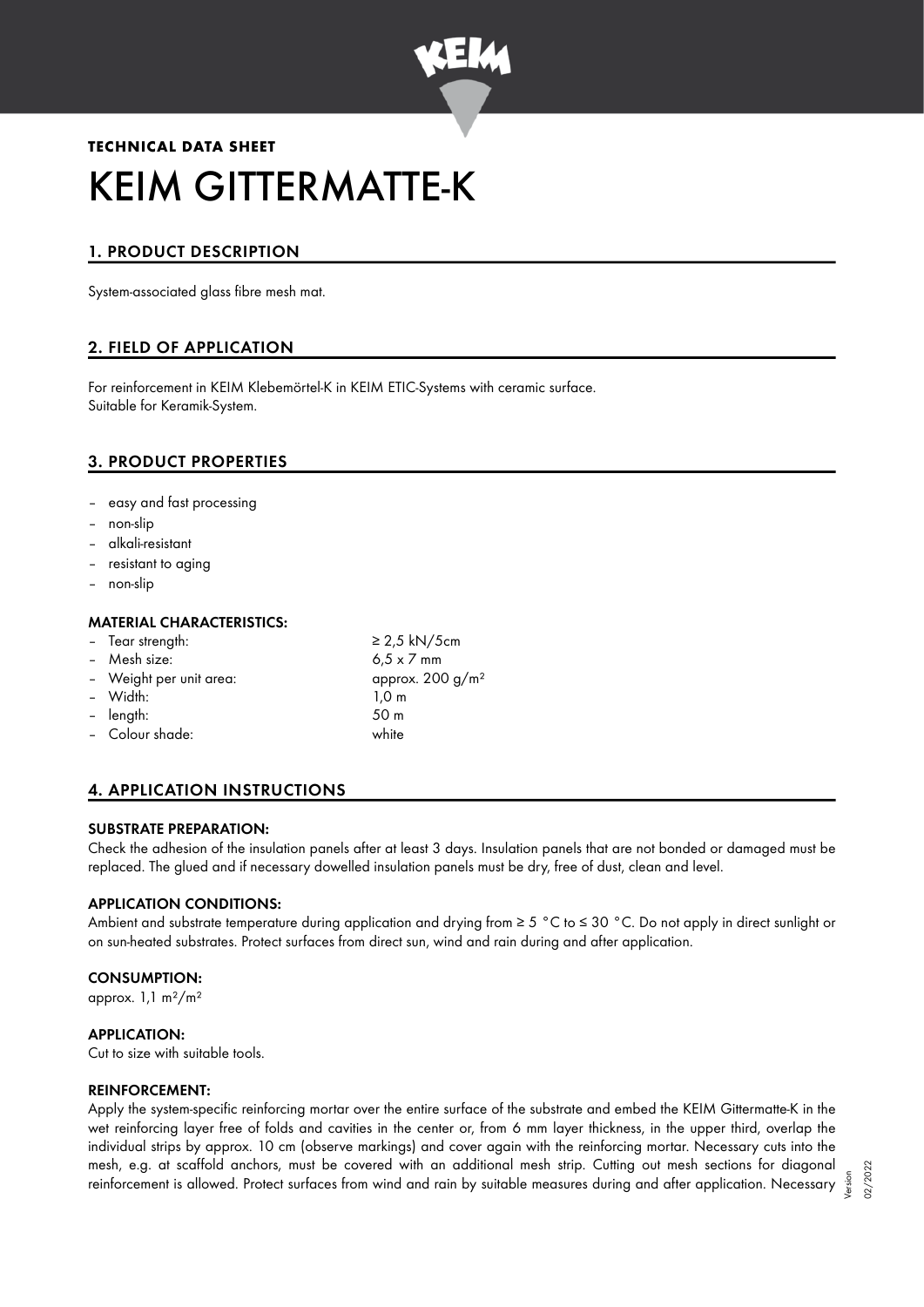

# **TECHNICAL DATA SHEET** KEIM GITTERMATTE-K

# 1. PRODUCT DESCRIPTION

System-associated glass fibre mesh mat.

# 2. FIELD OF APPLICATION

For reinforcement in KEIM Klebemörtel-K in KEIM ETIC-Systems with ceramic surface. Suitable for Keramik-System.

# 3. PRODUCT PROPERTIES

- easy and fast processing
- non-slip
- alkali-resistant
- resistant to aging
- non-slip

#### MATERIAL CHARACTERISTICS:

| - Tear strength:        | $\geq$ 2,5 kN/5cm<br>$6.5 \times 7$ mm |  |
|-------------------------|----------------------------------------|--|
| - Mesh size:            |                                        |  |
| - Weight per unit area: | approx. $200 g/m^2$                    |  |
| - Width:                | $1,0 \; \mathrm{m}$                    |  |
| - length:               | 50 m                                   |  |
| - Colour shade:         | white                                  |  |
|                         |                                        |  |

# 4. APPLICATION INSTRUCTIONS

#### SUBSTRATE PREPARATION:

Check the adhesion of the insulation panels after at least 3 days. Insulation panels that are not bonded or damaged must be replaced. The glued and if necessary dowelled insulation panels must be dry, free of dust, clean and level.

#### APPLICATION CONDITIONS:

Ambient and substrate temperature during application and drying from ≥ 5 °C to ≤ 30 °C. Do not apply in direct sunlight or on sun-heated substrates. Protect surfaces from direct sun, wind and rain during and after application.

#### CONSUMPTION:

approx.  $1,1 \text{ m}^2/\text{m}^2$ 

## APPLICATION:

Cut to size with suitable tools.

#### REINFORCEMENT:

Apply the system-specific reinforcing mortar over the entire surface of the substrate and embed the KEIM Gittermatte-K in the wet reinforcing layer free of folds and cavities in the center or, from 6 mm layer thickness, in the upper third, overlap the individual strips by approx. 10 cm (observe markings) and cover again with the reinforcing mortar. Necessary cuts into the mesh, e.g. at scaffold anchors, must be covered with an additional mesh strip. Cutting out mesh sections for diagonal reinforcement is allowed. Protect surfaces from wind and rain by suitable measures during and after application. Necessary

Version